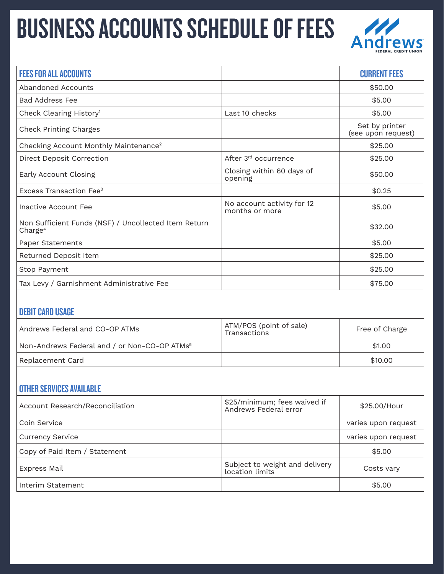## BUSINESS ACCOUNTS SCHEDULE OF FEES Andrews



| <b>FEES FOR ALL ACCOUNTS</b>                                                |                                                       | <b>CURRENT FEES</b>                  |  |
|-----------------------------------------------------------------------------|-------------------------------------------------------|--------------------------------------|--|
| Abandoned Accounts                                                          |                                                       | \$50.00                              |  |
| <b>Bad Address Fee</b>                                                      |                                                       | \$5.00                               |  |
| Check Clearing History <sup>1</sup>                                         | Last 10 checks                                        | \$5.00                               |  |
| <b>Check Printing Charges</b>                                               |                                                       | Set by printer<br>(see upon request) |  |
| Checking Account Monthly Maintenance <sup>2</sup>                           |                                                       | \$25.00                              |  |
| Direct Deposit Correction                                                   | After 3rd occurrence                                  | \$25.00                              |  |
| Early Account Closing                                                       | Closing within 60 days of<br>opening                  | \$50.00                              |  |
| Excess Transaction Fee <sup>3</sup>                                         |                                                       | \$0.25                               |  |
| Inactive Account Fee                                                        | No account activity for 12<br>months or more          | \$5.00                               |  |
| Non Sufficient Funds (NSF) / Uncollected Item Return<br>Charge <sup>4</sup> |                                                       | \$32.00                              |  |
| Paper Statements                                                            |                                                       | \$5.00                               |  |
| Returned Deposit Item                                                       |                                                       | \$25.00                              |  |
| Stop Payment                                                                |                                                       | \$25.00                              |  |
| Tax Levy / Garnishment Administrative Fee                                   |                                                       | \$75.00                              |  |
|                                                                             |                                                       |                                      |  |
| <b>DEBIT CARD USAGE</b>                                                     |                                                       |                                      |  |
| Andrews Federal and CO-OP ATMs                                              | ATM/POS (point of sale)<br>Transactions               | Free of Charge                       |  |
| Non-Andrews Federal and / or Non-CO-OP ATMs <sup>5</sup>                    |                                                       | \$1.00                               |  |
| Replacement Card                                                            |                                                       | \$10.00                              |  |
|                                                                             |                                                       |                                      |  |
| <b>OTHER SERVICES AVAILABLE</b>                                             |                                                       |                                      |  |
| Account Research/Reconciliation                                             | \$25/minimum; fees waived if<br>Andrews Federal error | \$25.00/Hour                         |  |
| Coin Service                                                                |                                                       | varies upon request                  |  |
| <b>Currency Service</b>                                                     |                                                       | varies upon request                  |  |
| Copy of Paid Item / Statement                                               |                                                       | \$5.00                               |  |
| <b>Express Mail</b>                                                         | Subject to weight and delivery<br>location limits     | Costs vary                           |  |
| Interim Statement                                                           |                                                       | \$5.00                               |  |